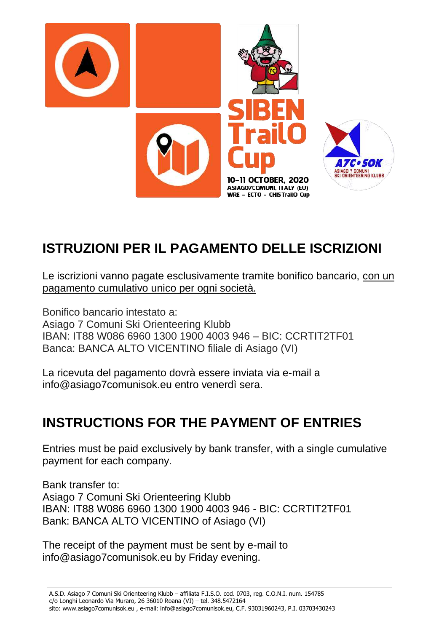

# **ISTRUZIONI PER IL PAGAMENTO DELLE ISCRIZIONI**

Le iscrizioni vanno pagate esclusivamente tramite bonifico bancario, con un pagamento cumulativo unico per ogni società.

Bonifico bancario intestato a:

Asiago 7 Comuni Ski Orienteering Klubb IBAN: IT88 W086 6960 1300 1900 4003 946 – BIC: CCRTIT2TF01 Banca: BANCA ALTO VICENTINO filiale di Asiago (VI)

La ricevuta del pagamento dovrà essere inviata via e-mail a info@asiago7comunisok.eu entro venerdì sera.

# **INSTRUCTIONS FOR THE PAYMENT OF ENTRIES**

Entries must be paid exclusively by bank transfer, with a single cumulative payment for each company.

Bank transfer to: Asiago 7 Comuni Ski Orienteering Klubb IBAN: IT88 W086 6960 1300 1900 4003 946 - BIC: CCRTIT2TF01 Bank: BANCA ALTO VICENTINO of Asiago (VI)

The receipt of the payment must be sent by e-mail to info@asiago7comunisok.eu by Friday evening.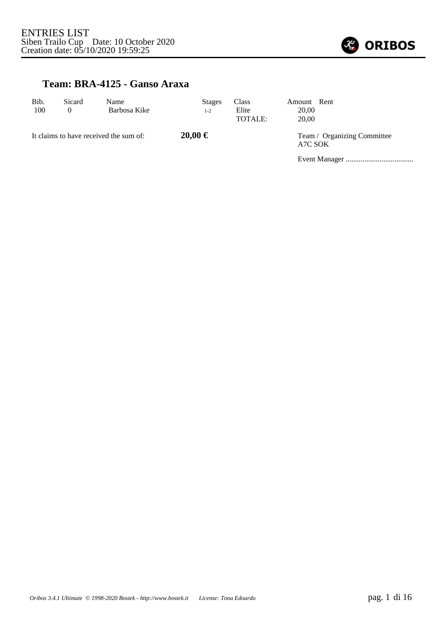

#### **Team: BRA-4125 - Ganso Araxa**

| Bib.<br>100                            | Sicard<br>$\theta$ | Name<br>Barbosa Kike | <b>Stages</b><br>$1 - 2$ | <b>Class</b><br>Elite<br>TOTALE: | Amount Rent<br>20,00<br>20.00 |  |
|----------------------------------------|--------------------|----------------------|--------------------------|----------------------------------|-------------------------------|--|
| It claims to have received the sum of: |                    | $20,00 \in$          |                          | A7C SOK                          | Team / Organizing Committee   |  |
|                                        |                    |                      |                          |                                  |                               |  |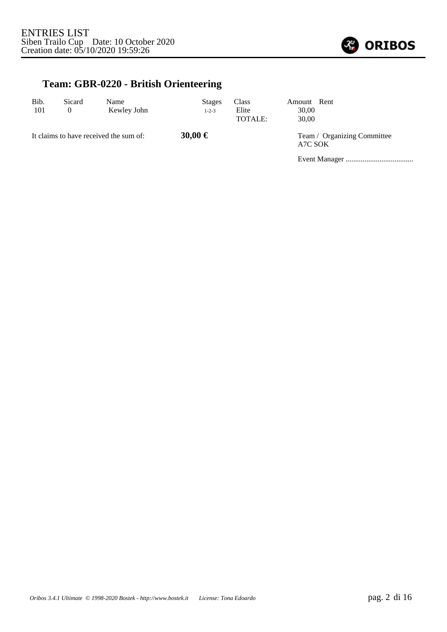

## **Team: GBR-0220 - British Orienteering**

| Bib.<br>101 | Sicard<br>$\theta$ | Name<br>Kewley John                    | <b>Stages</b><br>$1 - 2 - 3$ | <b>Class</b><br>Elite<br>TOTALE: | Amount Rent<br>30,00<br>30,00          |  |  |
|-------------|--------------------|----------------------------------------|------------------------------|----------------------------------|----------------------------------------|--|--|
|             |                    | It claims to have received the sum of: | 30,00 €                      |                                  | Team / Organizing Committee<br>A7C SOK |  |  |
|             |                    |                                        |                              |                                  |                                        |  |  |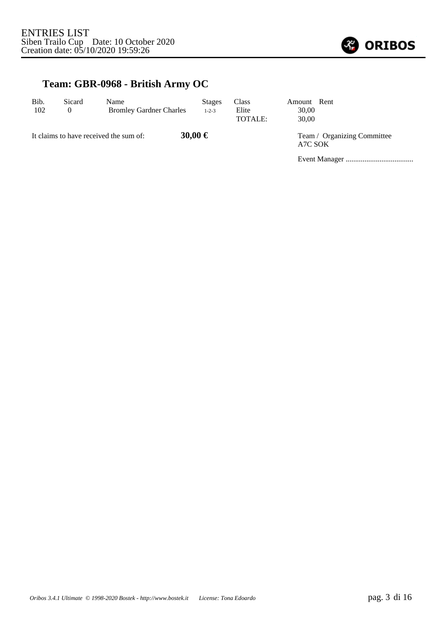

## **Team: GBR-0968 - British Army OC**

| Bib.<br>102 | Sicard<br>$\theta$ | Name<br><b>Bromley Gardner Charles</b> | <b>Stages</b><br>$1 - 2 - 3$ | <b>Class</b><br>Elite<br>TOTALE: | Amount Rent<br>30.00<br>30,00 |                             |
|-------------|--------------------|----------------------------------------|------------------------------|----------------------------------|-------------------------------|-----------------------------|
|             |                    | It claims to have received the sum of: | 30,00 €                      |                                  | A7C SOK                       | Team / Organizing Committee |
|             |                    |                                        |                              |                                  |                               |                             |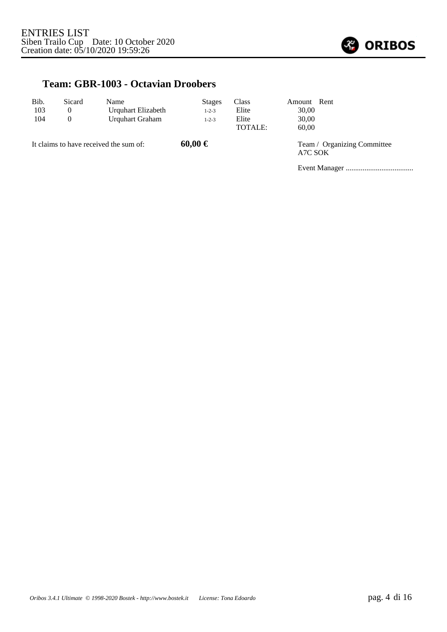

#### **Team: GBR-1003 - Octavian Droobers**

| Bib.<br>103<br>104 | Sicard<br>$\overline{0}$<br>$\theta$ | Name<br>Urquhart Elizabeth<br>Urquhart Graham | <b>Stages</b><br>$1 - 2 - 3$<br>$1 - 2 - 3$ | <b>Class</b><br>Elite<br>Elite<br>TOTALE: | Amount Rent<br>30,00<br>30,00<br>60.00 |                             |
|--------------------|--------------------------------------|-----------------------------------------------|---------------------------------------------|-------------------------------------------|----------------------------------------|-----------------------------|
|                    |                                      | It claims to have received the sum of:        | $60,00 \in$                                 |                                           | A7C SOK                                | Team / Organizing Committee |
|                    |                                      |                                               |                                             |                                           |                                        |                             |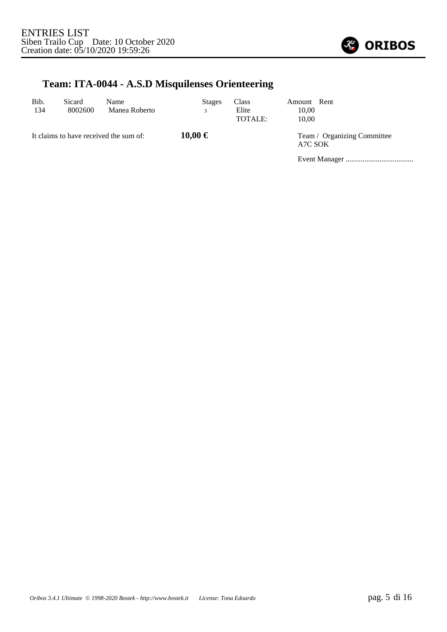

## **Team: ITA-0044 - A.S.D Misquilenses Orienteering**

| Bib.<br>134 | Sicard<br>8002600 | Name<br>Manea Roberto                  | <b>Stages</b><br>3 | <b>Class</b><br>Elite<br>TOTALE: | Amount Rent<br>10,00<br>10.00          |  |
|-------------|-------------------|----------------------------------------|--------------------|----------------------------------|----------------------------------------|--|
|             |                   | It claims to have received the sum of: | $10,00 \in$        |                                  | Team / Organizing Committee<br>A7C SOK |  |
|             |                   |                                        |                    |                                  |                                        |  |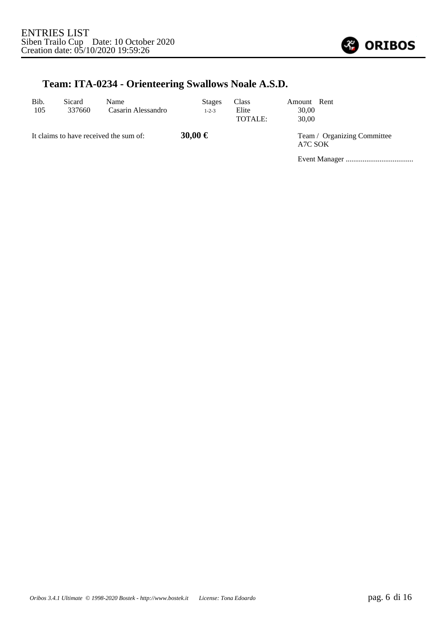

## **Team: ITA-0234 - Orienteering Swallows Noale A.S.D.**

| Bib.<br>105 | Sicard<br>337660 | Name<br>Casarin Alessandro             | <b>Stages</b><br>$1 - 2 - 3$ | Class<br>Elite<br>TOTALE: | Amount Rent<br>30,00<br>30.00 |                             |
|-------------|------------------|----------------------------------------|------------------------------|---------------------------|-------------------------------|-----------------------------|
|             |                  | It claims to have received the sum of: | 30,00 €                      |                           | A7C SOK                       | Team / Organizing Committee |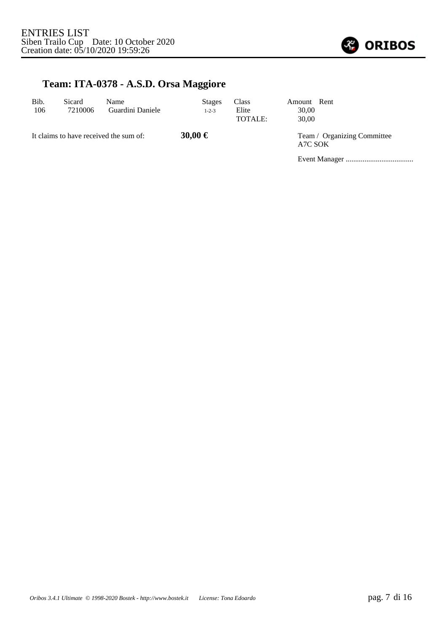

# **Team: ITA-0378 - A.S.D. Orsa Maggiore**

| Bib.<br>106 | Sicard<br>7210006 | Name<br>Guardini Daniele               | <b>Stages</b><br>$1 - 2 - 3$ | <b>Class</b><br>Elite<br>TOTALE: | Amount Rent<br>30,00<br>30.00          |  |
|-------------|-------------------|----------------------------------------|------------------------------|----------------------------------|----------------------------------------|--|
|             |                   | It claims to have received the sum of: | 30,00 €                      |                                  | Team / Organizing Committee<br>A7C SOK |  |
|             |                   |                                        |                              |                                  |                                        |  |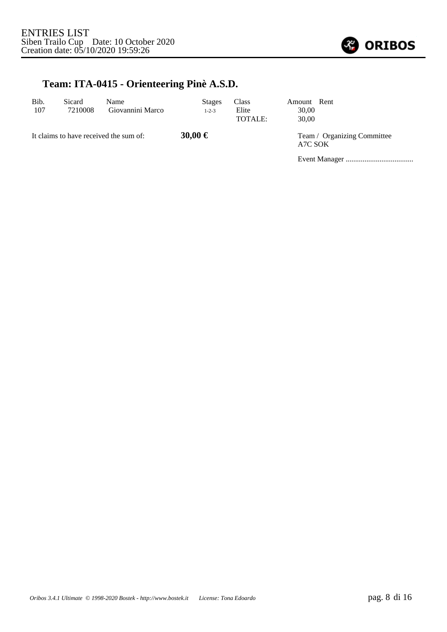

#### **Team: ITA-0415 - Orienteering Pinè A.S.D.**

| Bib.<br>107 | Sicard<br>7210008 | Name<br>Giovannini Marco               | <b>Stages</b><br>$1 - 2 - 3$ | Class<br>Elite<br>TOTALE: | Amount Rent<br>30.00<br>30.00 |                             |
|-------------|-------------------|----------------------------------------|------------------------------|---------------------------|-------------------------------|-----------------------------|
|             |                   | It claims to have received the sum of: | 30,00 €                      |                           | A7C SOK                       | Team / Organizing Committee |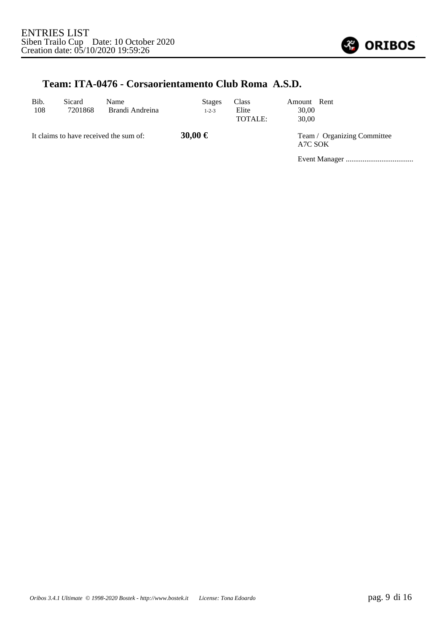

#### **Team: ITA-0476 - Corsaorientamento Club Roma A.S.D.**

| Bib.<br>108 | Sicard<br>7201868 | Name<br>Brandi Andreina                | <b>Stages</b><br>$1 - 2 - 3$ | Class<br>Elite<br>TOTALE: | Amount<br>30.00<br>30.00 | Rent                        |
|-------------|-------------------|----------------------------------------|------------------------------|---------------------------|--------------------------|-----------------------------|
|             |                   | It claims to have received the sum of: | 30,00 €                      |                           | A7C SOK                  | Team / Organizing Committee |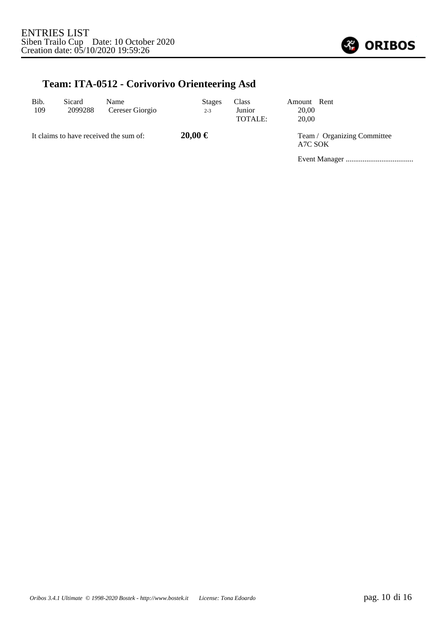

## **Team: ITA-0512 - Corivorivo Orienteering Asd**

| Bib.<br>109 | Sicard<br>2099288 | Name<br>Cereser Giorgio                | <b>Stages</b><br>$2 - 3$ | <b>Class</b><br>Junior<br>TOTALE: | Amount Rent<br>20,00<br>20,00          |  |
|-------------|-------------------|----------------------------------------|--------------------------|-----------------------------------|----------------------------------------|--|
|             |                   | It claims to have received the sum of: | $20,00 \in$              |                                   | Team / Organizing Committee<br>A7C SOK |  |
|             |                   |                                        |                          |                                   |                                        |  |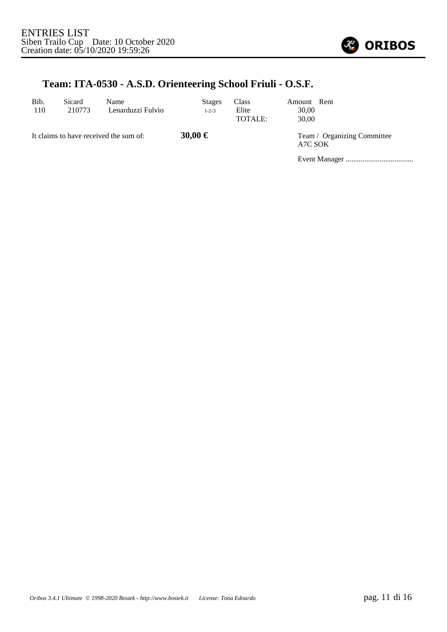

#### **Team: ITA-0530 - A.S.D. Orienteering School Friuli - O.S.F.**

| Bib.<br>110 | Sicard<br>210773 | Name<br>Lenarduzzi Fulvio              | <b>Stages</b><br>$1 - 2 - 3$ | Class<br>Elite<br>TOTALE: | Amount Rent<br>30.00<br>30.00 |                             |
|-------------|------------------|----------------------------------------|------------------------------|---------------------------|-------------------------------|-----------------------------|
|             |                  | It claims to have received the sum of: | 30,00 €                      |                           | A7C SOK                       | Team / Organizing Committee |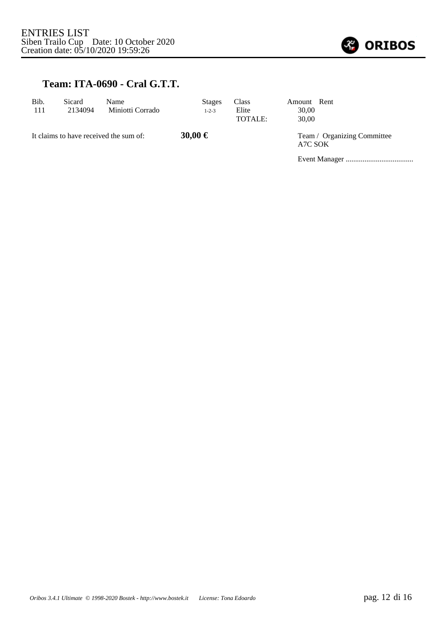

#### **Team: ITA-0690 - Cral G.T.T.**

| Bib.<br>111 | Sicard<br>2134094 | Name<br>Miniotti Corrado               | <b>Stages</b><br>$1 - 2 - 3$ | Class<br>Elite<br>TOTALE: | Amount Rent<br>30,00<br>30.00 |                             |
|-------------|-------------------|----------------------------------------|------------------------------|---------------------------|-------------------------------|-----------------------------|
|             |                   | It claims to have received the sum of: | 30,00 €                      |                           | A7C SOK                       | Team / Organizing Committee |
|             |                   |                                        |                              |                           |                               |                             |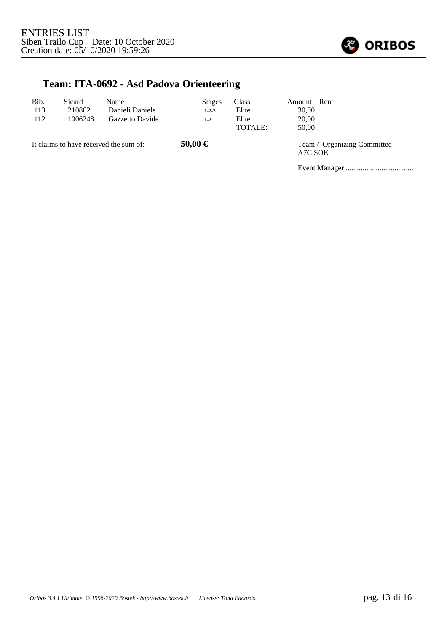

## **Team: ITA-0692 - Asd Padova Orienteering**

| Bib.<br>113<br>112                     | Sicard<br>210862<br>1006248 | Name<br>Danieli Daniele<br>Gazzetto Davide | <b>Stages</b><br>$1 - 2 - 3$<br>$1 - 2$ | Class<br>Elite<br>Elite<br>TOTALE: | Amount Rent<br>30,00<br>20,00<br>50,00 |                             |
|----------------------------------------|-----------------------------|--------------------------------------------|-----------------------------------------|------------------------------------|----------------------------------------|-----------------------------|
| It claims to have received the sum of: |                             |                                            | 50,00 €                                 |                                    | A7C SOK                                | Team / Organizing Committee |
|                                        |                             |                                            |                                         |                                    |                                        |                             |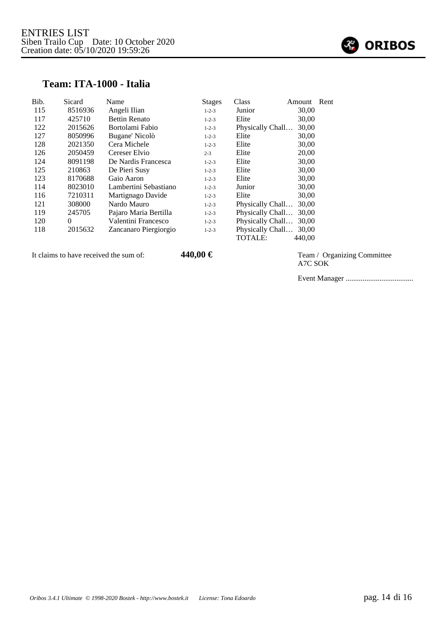

#### **Team: ITA-1000 - Italia**

| Bib. | Sicard   | Name                  | <b>Stages</b> | Class            | Amount | Rent |
|------|----------|-----------------------|---------------|------------------|--------|------|
| 115  | 8516936  | Angeli Ilian          | $1 - 2 - 3$   | Junior           | 30,00  |      |
| 117  | 425710   | <b>Bettin Renato</b>  | $1 - 2 - 3$   | Elite            | 30,00  |      |
| 122  | 2015626  | Bortolami Fabio       | $1 - 2 - 3$   | Physically Chall | 30,00  |      |
| 127  | 8050996  | Bugane' Nicolò        | $1 - 2 - 3$   | Elite            | 30,00  |      |
| 128  | 2021350  | Cera Michele          | $1 - 2 - 3$   | Elite            | 30,00  |      |
| 126  | 2050459  | Cereser Elvio         | $2 - 3$       | Elite            | 20,00  |      |
| 124  | 8091198  | De Nardis Francesca   | $1 - 2 - 3$   | Elite            | 30,00  |      |
| 125  | 210863   | De Pieri Susy         | $1 - 2 - 3$   | Elite            | 30,00  |      |
| 123  | 8170688  | Gaio Aaron            | $1 - 2 - 3$   | Elite            | 30,00  |      |
| 114  | 8023010  | Lambertini Sebastiano | $1 - 2 - 3$   | Junior           | 30,00  |      |
| 116  | 7210311  | Martignago Davide     | $1 - 2 - 3$   | Elite            | 30,00  |      |
| 121  | 308000   | Nardo Mauro           | $1 - 2 - 3$   | Physically Chall | 30,00  |      |
| 119  | 245705   | Pajaro Maria Bertilla | $1 - 2 - 3$   | Physically Chall | 30,00  |      |
| 120  | $\Omega$ | Valentini Francesco   | $1 - 2 - 3$   | Physically Chall | 30,00  |      |
| 118  | 2015632  | Zancanaro Piergiorgio | $1 - 2 - 3$   | Physically Chall | 30,00  |      |
|      |          |                       |               | TOTALE:          | 440.00 |      |

It claims to have received the sum of: **440,00 €** Team / Organizing Committee

A7C SOK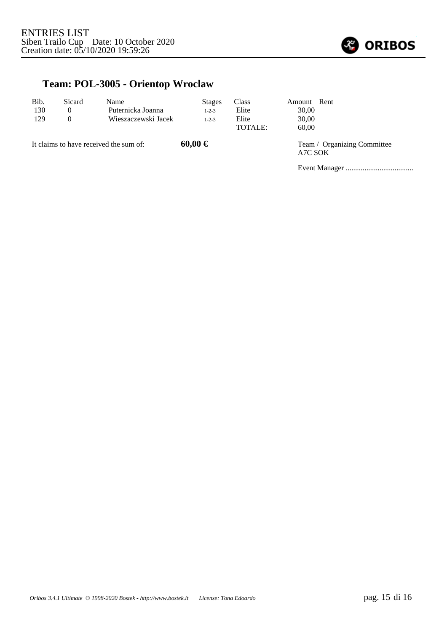

## **Team: POL-3005 - Orientop Wroclaw**

| Bib.<br>130<br>129                     | Sicard<br>$\theta$<br>$\Omega$ | Name<br>Puternicka Joanna<br>Wieszaczewski Jacek | <b>Stages</b><br>$1 - 2 - 3$<br>$1 - 2 - 3$ | <b>Class</b><br>Elite<br>Elite<br><b>TOTALE:</b> | Amount Rent<br>30,00<br>30,00<br>60,00 |                             |
|----------------------------------------|--------------------------------|--------------------------------------------------|---------------------------------------------|--------------------------------------------------|----------------------------------------|-----------------------------|
| It claims to have received the sum of: |                                |                                                  | $60,00 \in$                                 |                                                  | A7C SOK                                | Team / Organizing Committee |
|                                        |                                |                                                  |                                             |                                                  |                                        |                             |